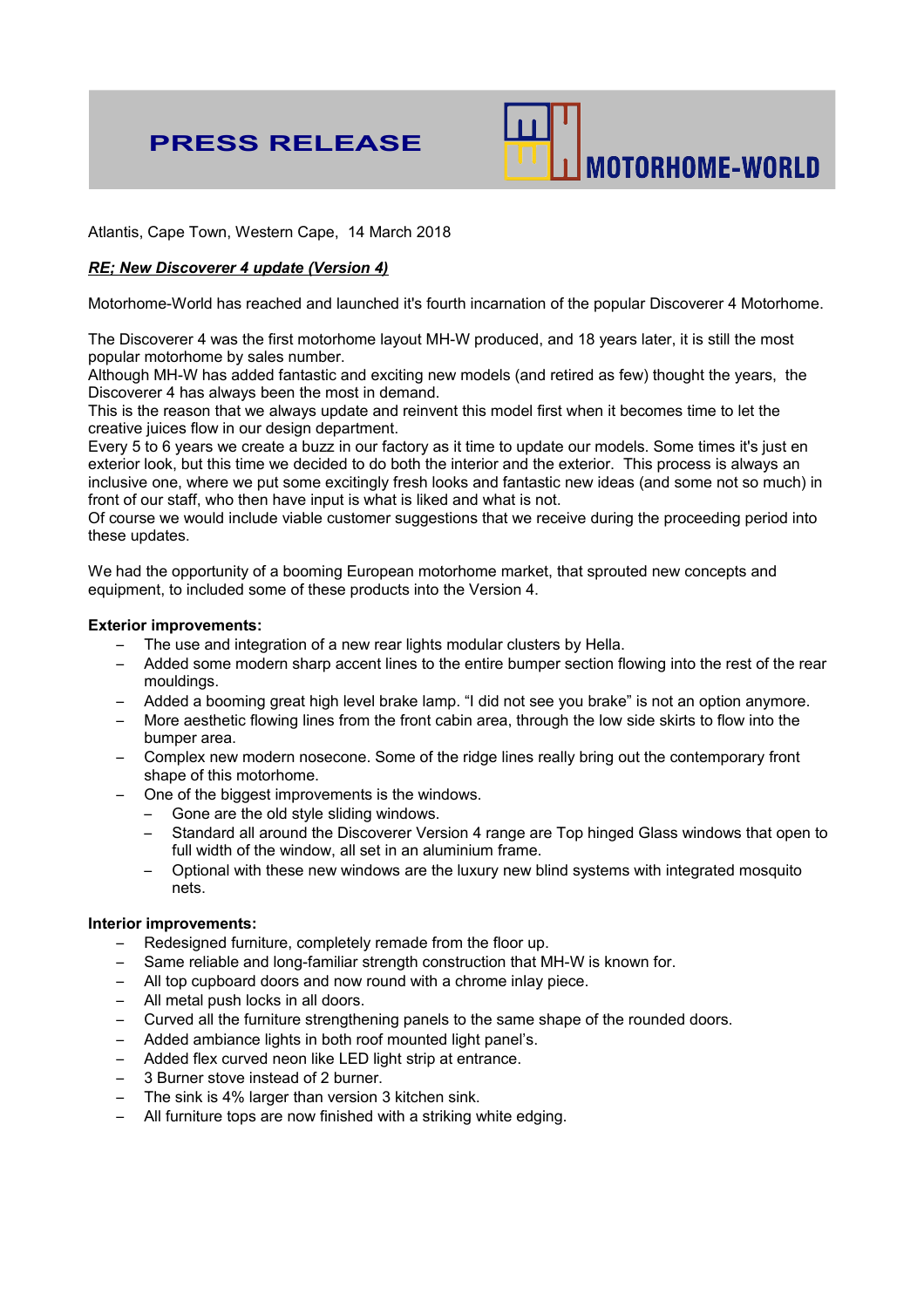# **PRESS RELEASE**



Atlantis, Cape Town, Western Cape, 14 March 2018

## *RE; New Discoverer 4 update (Version 4)*

Motorhome-World has reached and launched it's fourth incarnation of the popular Discoverer 4 Motorhome.

The Discoverer 4 was the first motorhome layout MH-W produced, and 18 years later, it is still the most popular motorhome by sales number.

Although MH-W has added fantastic and exciting new models (and retired as few) thought the years, the Discoverer 4 has always been the most in demand.

This is the reason that we always update and reinvent this model first when it becomes time to let the creative juices flow in our design department.

Every 5 to 6 years we create a buzz in our factory as it time to update our models. Some times it's just en exterior look, but this time we decided to do both the interior and the exterior. This process is always an inclusive one, where we put some excitingly fresh looks and fantastic new ideas (and some not so much) in front of our staff, who then have input is what is liked and what is not.

Of course we would include viable customer suggestions that we receive during the proceeding period into these updates.

We had the opportunity of a booming European motorhome market, that sprouted new concepts and equipment, to included some of these products into the Version 4.

#### **Exterior improvements:**

- The use and integration of a new rear lights modular clusters by Hella.
- Added some modern sharp accent lines to the entire bumper section flowing into the rest of the rear mouldings.
- Added a booming great high level brake lamp. "I did not see you brake" is not an option anymore.
- More aesthetic flowing lines from the front cabin area, through the low side skirts to flow into the bumper area.
- Complex new modern nosecone. Some of the ridge lines really bring out the contemporary front shape of this motorhome.
- One of the biggest improvements is the windows.
	- Gone are the old style sliding windows.
	- Standard all around the Discoverer Version 4 range are Top hinged Glass windows that open to full width of the window, all set in an aluminium frame.
	- Optional with these new windows are the luxury new blind systems with integrated mosquito nets.

### **Interior improvements:**

- Redesigned furniture, completely remade from the floor up.
- Same reliable and long-familiar strength construction that MH-W is known for.
- All top cupboard doors and now round with a chrome inlay piece.
- All metal push locks in all doors.
- Curved all the furniture strengthening panels to the same shape of the rounded doors.
- Added ambiance lights in both roof mounted light panel's.
- Added flex curved neon like LED light strip at entrance.
- 3 Burner stove instead of 2 burner.
- The sink is 4% larger than version 3 kitchen sink.
- All furniture tops are now finished with a striking white edging.